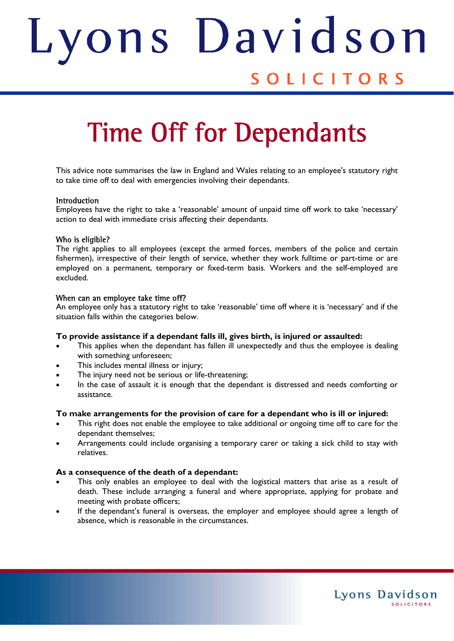# ons Davids Judith SOLICITORS

# Time Off for Dependants

This advice note summarises the law in England and Wales relating to an employee's statutory right to take time off to deal with emergencies involving their dependants.

# Introduction

Employees have the right to take a 'reasonable' amount of unpaid time off work to take 'necessary' action to deal with immediate crisis affecting their dependants.

# Who is eligible?

The right applies to all employees (except the armed forces, members of the police and certain fishermen), irrespective of their length of service, whether they work fulltime or part-time or are employed on a permanent, temporary or fixed-term basis. Workers and the self-employed are excluded.

# When can an employee take time off?

An employee only has a statutory right to take 'reasonable' time off where it is 'necessary' and if the situation falls within the categories below.

# **To provide assistance if a dependant falls ill, gives birth, is injured or assaulted:**

- This applies when the dependant has fallen ill unexpectedly and thus the employee is dealing with something unforeseen;
- This includes mental illness or injury;
- The injury need not be serious or life-threatening;
- In the case of assault it is enough that the dependant is distressed and needs comforting or assistance.

# **To make arrangements for the provision of care for a dependant who is ill or injured:**

- This right does not enable the employee to take additional or ongoing time off to care for the dependant themselves;
- Arrangements could include organising a temporary carer or taking a sick child to stay with relatives.

# **As a consequence of the death of a dependant:**

- This only enables an employee to deal with the logistical matters that arise as a result of death. These include arranging a funeral and where appropriate, applying for probate and meeting with probate officers;
- If the dependant's funeral is overseas, the employer and employee should agree a length of absence, which is reasonable in the circumstances.

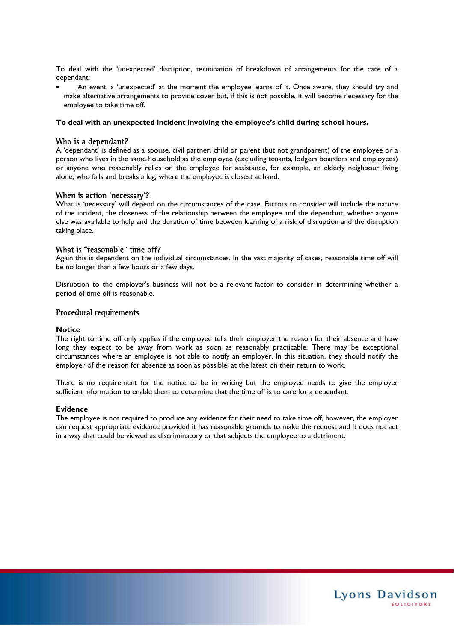To deal with the 'unexpected' disruption, termination of breakdown of arrangements for the care of a dependant:

 An event is 'unexpected' at the moment the employee learns of it. Once aware, they should try and make alternative arrangements to provide cover but, if this is not possible, it will become necessary for the employee to take time off.

#### **To deal with an unexpected incident involving the employee's child during school hours.**

#### Who is a dependant?

A 'dependant' is defined as a spouse, civil partner, child or parent (but not grandparent) of the employee or a person who lives in the same household as the employee (excluding tenants, lodgers boarders and employees) or anyone who reasonably relies on the employee for assistance, for example, an elderly neighbour living alone, who falls and breaks a leg, where the employee is closest at hand.

#### When is action 'necessary'?

What is 'necessary' will depend on the circumstances of the case. Factors to consider will include the nature of the incident, the closeness of the relationship between the employee and the dependant, whether anyone else was available to help and the duration of time between learning of a risk of disruption and the disruption taking place.

#### What is "reasonable" time off?

Again this is dependent on the individual circumstances. In the vast majority of cases, reasonable time off will be no longer than a few hours or a few days.

Disruption to the employer's business will not be a relevant factor to consider in determining whether a period of time off is reasonable.

#### Procedural requirements

#### **Notice**

The right to time off only applies if the employee tells their employer the reason for their absence and how long they expect to be away from work as soon as reasonably practicable. There may be exceptional circumstances where an employee is not able to notify an employer. In this situation, they should notify the employer of the reason for absence as soon as possible: at the latest on their return to work.

There is no requirement for the notice to be in writing but the employee needs to give the employer sufficient information to enable them to determine that the time off is to care for a dependant.

#### **Evidence**

The employee is not required to produce any evidence for their need to take time off, however, the employer can request appropriate evidence provided it has reasonable grounds to make the request and it does not act in a way that could be viewed as discriminatory or that subjects the employee to a detriment.